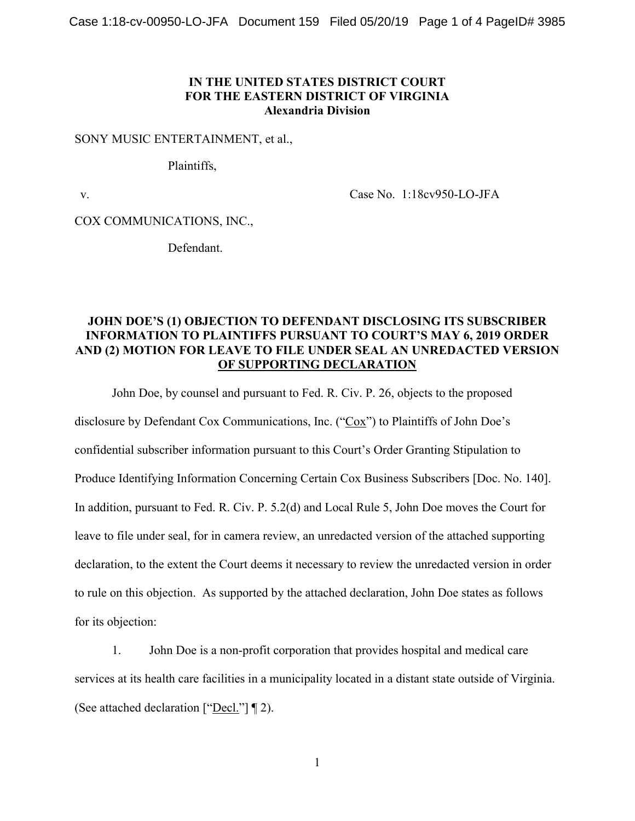## **IN THE UNITED STATES DISTRICT COURT FOR THE EASTERN DISTRICT OF VIRGINIA Alexandria Division**

#### SONY MUSIC ENTERTAINMENT, et al.,

Plaintiffs,

v. Case No. 1:18cv950-LO-JFA

COX COMMUNICATIONS, INC.,

Defendant.

# **JOHN DOE'S (1) OBJECTION TO DEFENDANT DISCLOSING ITS SUBSCRIBER INFORMATION TO PLAINTIFFS PURSUANT TO COURT'S MAY 6, 2019 ORDER AND (2) MOTION FOR LEAVE TO FILE UNDER SEAL AN UNREDACTED VERSION OF SUPPORTING DECLARATION**

John Doe, by counsel and pursuant to Fed. R. Civ. P. 26, objects to the proposed disclosure by Defendant Cox Communications, Inc. ("Cox") to Plaintiffs of John Doe's confidential subscriber information pursuant to this Court's Order Granting Stipulation to Produce Identifying Information Concerning Certain Cox Business Subscribers [Doc. No. 140]. In addition, pursuant to Fed. R. Civ. P. 5.2(d) and Local Rule 5, John Doe moves the Court for leave to file under seal, for in camera review, an unredacted version of the attached supporting declaration, to the extent the Court deems it necessary to review the unredacted version in order to rule on this objection. As supported by the attached declaration, John Doe states as follows for its objection:

1. John Doe is a non-profit corporation that provides hospital and medical care services at its health care facilities in a municipality located in a distant state outside of Virginia. (See attached declaration ["Decl."] ¶ 2).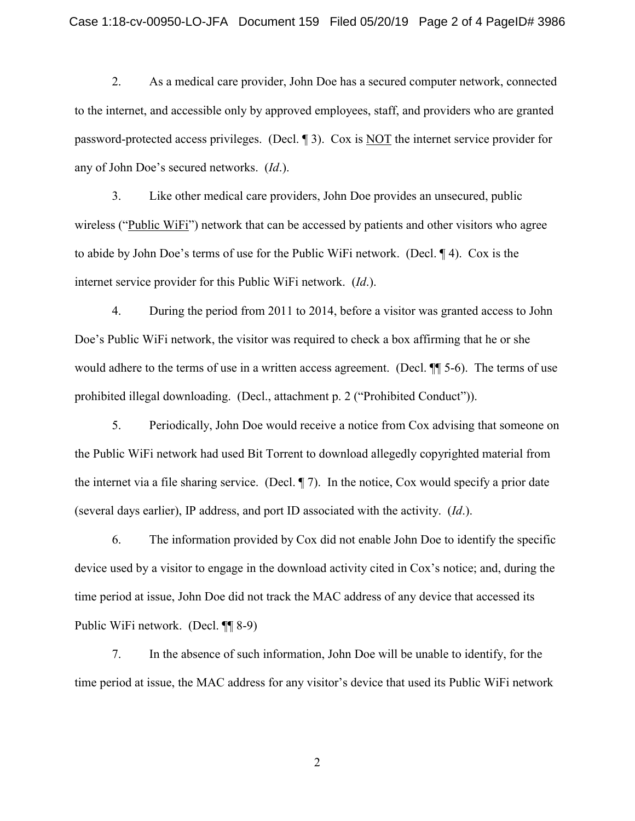2. As a medical care provider, John Doe has a secured computer network, connected to the internet, and accessible only by approved employees, staff, and providers who are granted password-protected access privileges. (Decl. ¶ 3). Cox is NOT the internet service provider for any of John Doe's secured networks. (*Id*.).

3. Like other medical care providers, John Doe provides an unsecured, public wireless ("Public WiFi") network that can be accessed by patients and other visitors who agree to abide by John Doe's terms of use for the Public WiFi network. (Decl. ¶ 4). Cox is the internet service provider for this Public WiFi network. (*Id*.).

4. During the period from 2011 to 2014, before a visitor was granted access to John Doe's Public WiFi network, the visitor was required to check a box affirming that he or she would adhere to the terms of use in a written access agreement. (Decl. ¶¶ 5-6). The terms of use prohibited illegal downloading. (Decl., attachment p. 2 ("Prohibited Conduct")).

5. Periodically, John Doe would receive a notice from Cox advising that someone on the Public WiFi network had used Bit Torrent to download allegedly copyrighted material from the internet via a file sharing service. (Decl. ¶ 7). In the notice, Cox would specify a prior date (several days earlier), IP address, and port ID associated with the activity. (*Id*.).

6. The information provided by Cox did not enable John Doe to identify the specific device used by a visitor to engage in the download activity cited in Cox's notice; and, during the time period at issue, John Doe did not track the MAC address of any device that accessed its Public WiFi network. (Decl. ¶¶ 8-9)

7. In the absence of such information, John Doe will be unable to identify, for the time period at issue, the MAC address for any visitor's device that used its Public WiFi network

2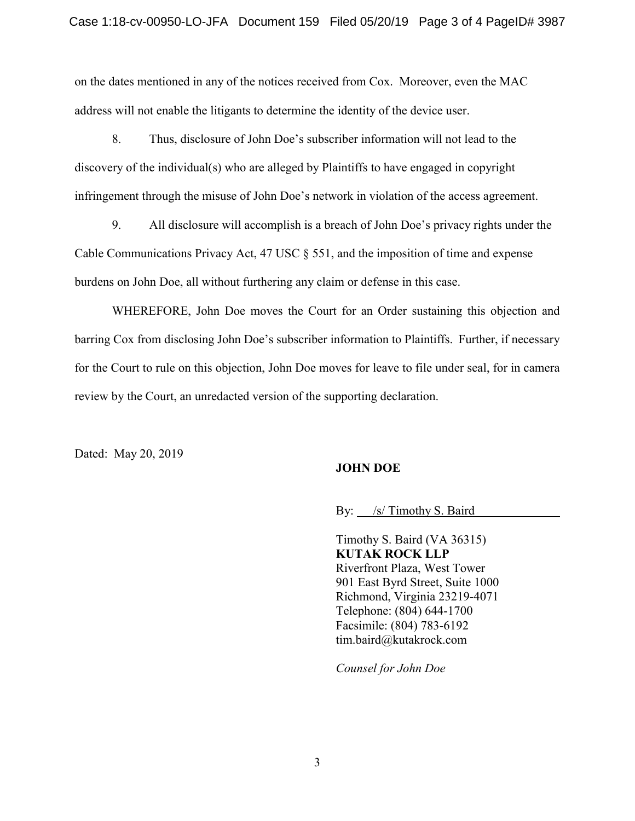on the dates mentioned in any of the notices received from Cox. Moreover, even the MAC address will not enable the litigants to determine the identity of the device user.

8. Thus, disclosure of John Doe's subscriber information will not lead to the discovery of the individual(s) who are alleged by Plaintiffs to have engaged in copyright infringement through the misuse of John Doe's network in violation of the access agreement.

9. All disclosure will accomplish is a breach of John Doe's privacy rights under the Cable Communications Privacy Act, 47 USC § 551, and the imposition of time and expense burdens on John Doe, all without furthering any claim or defense in this case.

WHEREFORE, John Doe moves the Court for an Order sustaining this objection and barring Cox from disclosing John Doe's subscriber information to Plaintiffs. Further, if necessary for the Court to rule on this objection, John Doe moves for leave to file under seal, for in camera review by the Court, an unredacted version of the supporting declaration.

Dated: May 20, 2019

## **JOHN DOE**

By: /s/ Timothy S. Baird

Timothy S. Baird (VA 36315) **KUTAK ROCK LLP** Riverfront Plaza, West Tower 901 East Byrd Street, Suite 1000 Richmond, Virginia 23219-4071 Telephone: (804) 644-1700 Facsimile: (804) 783-6192 tim.baird@kutakrock.com

*Counsel for John Doe*